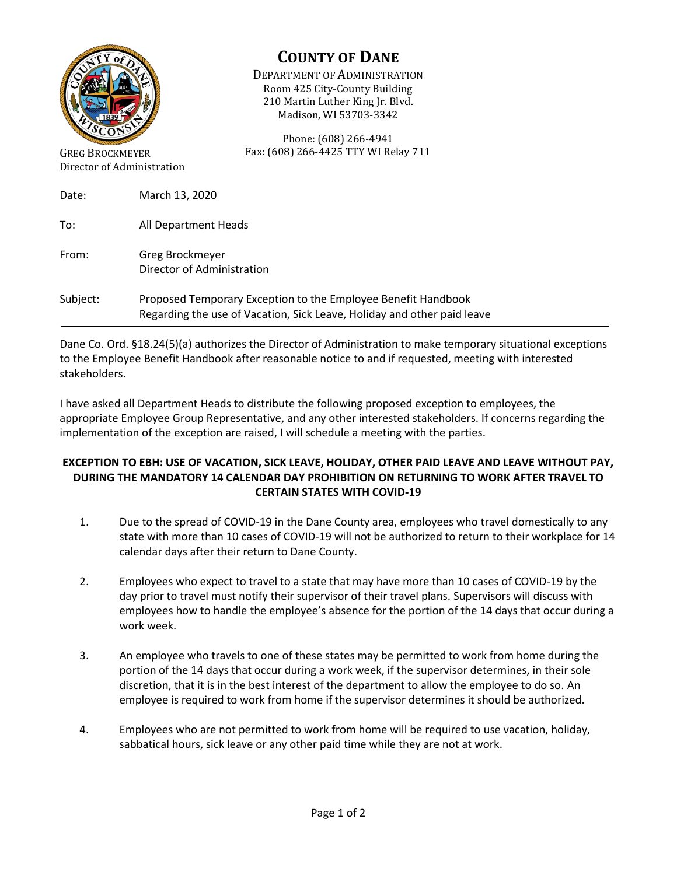

Director of Administration

## **COUNTY OF DANE**

DEPARTMENT OF ADMINISTRATION Room 425 City-County Building 210 Martin Luther King Jr. Blvd. Madison, WI 53703-3342

Phone: (608) 266-4941 Fax: (608) 266-4425 TTY WI Relay 711

| Date:    | March 13, 2020                                                                                                                           |
|----------|------------------------------------------------------------------------------------------------------------------------------------------|
| To:      | All Department Heads                                                                                                                     |
| From:    | Greg Brockmeyer<br>Director of Administration                                                                                            |
| Subject: | Proposed Temporary Exception to the Employee Benefit Handbook<br>Regarding the use of Vacation, Sick Leave, Holiday and other paid leave |

Dane Co. Ord. §18.24(5)(a) authorizes the Director of Administration to make temporary situational exceptions to the Employee Benefit Handbook after reasonable notice to and if requested, meeting with interested stakeholders.

I have asked all Department Heads to distribute the following proposed exception to employees, the appropriate Employee Group Representative, and any other interested stakeholders. If concerns regarding the implementation of the exception are raised, I will schedule a meeting with the parties.

## **EXCEPTION TO EBH: USE OF VACATION, SICK LEAVE, HOLIDAY, OTHER PAID LEAVE AND LEAVE WITHOUT PAY, DURING THE MANDATORY 14 CALENDAR DAY PROHIBITION ON RETURNING TO WORK AFTER TRAVEL TO CERTAIN STATES WITH COVID-19**

- 1. Due to the spread of COVID-19 in the Dane County area, employees who travel domestically to any state with more than 10 cases of COVID-19 will not be authorized to return to their workplace for 14 calendar days after their return to Dane County.
- 2. Employees who expect to travel to a state that may have more than 10 cases of COVID-19 by the day prior to travel must notify their supervisor of their travel plans. Supervisors will discuss with employees how to handle the employee's absence for the portion of the 14 days that occur during a work week.
- 3. An employee who travels to one of these states may be permitted to work from home during the portion of the 14 days that occur during a work week, if the supervisor determines, in their sole discretion, that it is in the best interest of the department to allow the employee to do so. An employee is required to work from home if the supervisor determines it should be authorized.
- 4. Employees who are not permitted to work from home will be required to use vacation, holiday, sabbatical hours, sick leave or any other paid time while they are not at work.